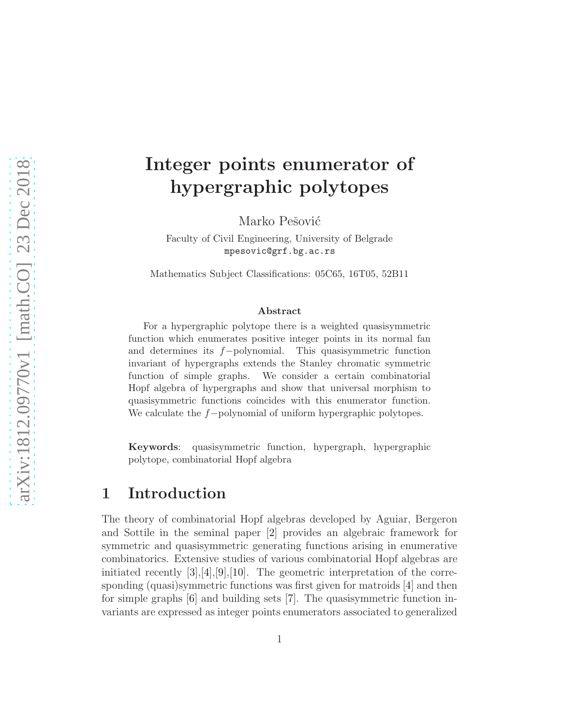# Integer points enumerator of hypergraphic polytopes

Marko Pešović

Faculty of Civil Engineering, University of Belgrade mpesovic@grf.bg.ac.rs

Mathematics Subject Classifications: 05C65, 16T05, 52B11

#### Abstract

For a hypergraphic polytope there is a weighted quasisymmetric function which enumerates positive integer points in its normal fan and determines its f−polynomial. This quasisymmetric function invariant of hypergraphs extends the Stanley chromatic symmetric function of simple graphs. We consider a certain combinatorial Hopf algebra of hypergraphs and show that universal morphism to quasisymmetric functions coincides with this enumerator function. We calculate the f−polynomial of uniform hypergraphic polytopes.

Keywords: quasisymmetric function, hypergraph, hypergraphic polytope, combinatorial Hopf algebra

### 1 Introduction

The theory of combinatorial Hopf algebras developed by Aguiar, Bergeron and Sottile in the seminal paper [\[2\]](#page-8-0) provides an algebraic framework for symmetric and quasisymmetric generating functions arising in enumerative combinatorics. Extensive studies of various combinatorial Hopf algebras are initiated recently  $[3],[4],[9],[10]$  $[3],[4],[9],[10]$  $[3],[4],[9],[10]$  $[3],[4],[9],[10]$  $[3],[4],[9],[10]$  $[3],[4],[9],[10]$ . The geometric interpretation of the corresponding (quasi)symmetric functions was first given for matroids [\[4\]](#page-8-2) and then for simple graphs [\[6\]](#page-9-2) and building sets [\[7\]](#page-9-3). The quasisymmetric function invariants are expressed as integer points enumerators associated to generalized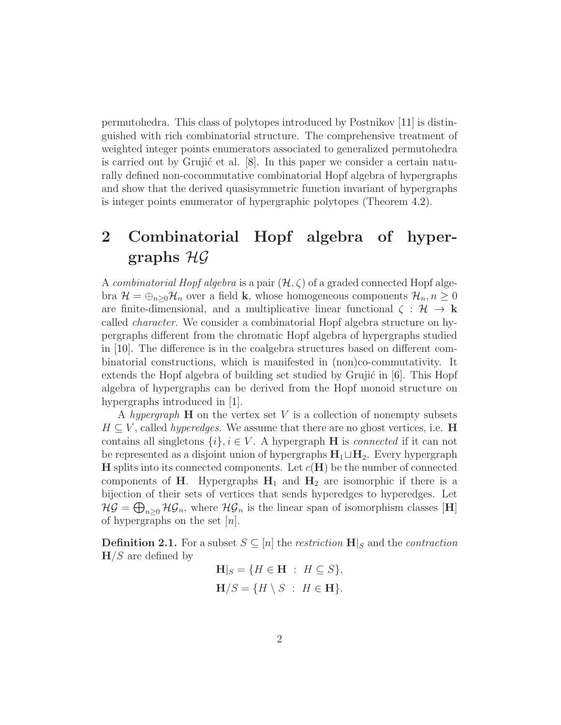permutohedra. This class of polytopes introduced by Postnikov [\[11\]](#page-9-4) is distinguished with rich combinatorial structure. The comprehensive treatment of weighted integer points enumerators associated to generalized permutohedra is carried out by Grujić et al.  $[8]$ . In this paper we consider a certain naturally defined non-cocommutative combinatorial Hopf algebra of hypergraphs and show that the derived quasisymmetric function invariant of hypergraphs is integer points enumerator of hypergraphic polytopes (Theorem [4.2\)](#page-6-0).

## 2 Combinatorial Hopf algebra of hypergraphs  $H\mathcal{G}$

A combinatorial Hopf algebra is a pair  $(\mathcal{H}, \zeta)$  of a graded connected Hopf algebra  $\mathcal{H} = \bigoplus_{n\geq 0} \mathcal{H}_n$  over a field **k**, whose homogeneous components  $\mathcal{H}_n, n \geq 0$ are finite-dimensional, and a multiplicative linear functional  $\zeta : \mathcal{H} \to \mathbf{k}$ called character. We consider a combinatorial Hopf algebra structure on hypergraphs different from the chromatic Hopf algebra of hypergraphs studied in [\[10\]](#page-9-1). The difference is in the coalgebra structures based on different combinatorial constructions, which is manifested in (non)co-commutativity. It extends the Hopf algebra of building set studied by Grujić in  $[6]$ . This Hopf algebra of hypergraphs can be derived from the Hopf monoid structure on hypergraphs introduced in [\[1\]](#page-8-3).

A hypergraph  $\bf{H}$  on the vertex set V is a collection of nonempty subsets  $H \subseteq V$ , called *hyperedges*. We assume that there are no ghost vertices, i.e. **H** contains all singletons  $\{i\}, i \in V$ . A hypergraph **H** is *connected* if it can not be represented as a disjoint union of hypergraphs  $H_1 \sqcup H_2$ . Every hypergraph **H** splits into its connected components. Let  $c(H)$  be the number of connected components of H. Hypergraphs  $H_1$  and  $H_2$  are isomorphic if there is a bijection of their sets of vertices that sends hyperedges to hyperedges. Let  $\mathcal{HG} = \bigoplus_{n\geq 0} \mathcal{HG}_n$ , where  $\mathcal{HG}_n$  is the linear span of isomorphism classes [H] of hypergraphs on the set  $[n]$ .

**Definition 2.1.** For a subset  $S \subseteq [n]$  the *restriction*  $\mathbf{H}|_S$  and the *contraction*  $H/S$  are defined by

$$
\mathbf{H}|_S = \{ H \in \mathbf{H} : H \subseteq S \},\
$$

$$
\mathbf{H}/S = \{ H \setminus S : H \in \mathbf{H} \}.
$$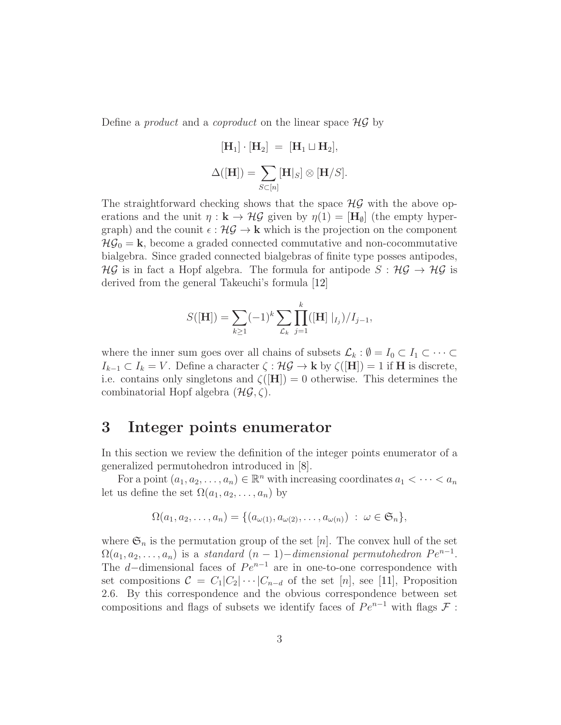Define a *product* and a *coproduct* on the linear space  $HG$  by

$$
[\mathbf{H}_1] \cdot [\mathbf{H}_2] = [\mathbf{H}_1 \sqcup \mathbf{H}_2],
$$
  

$$
\Delta([\mathbf{H}]) = \sum_{S \subset [n]} [\mathbf{H}|_S] \otimes [\mathbf{H}/S].
$$

The straightforward checking shows that the space  $\mathcal{HG}$  with the above operations and the unit  $\eta : \mathbf{k} \to \mathcal{HG}$  given by  $\eta(1) = [\mathbf{H}_{\emptyset}]$  (the empty hypergraph) and the counit  $\epsilon : \mathcal{HG} \to \mathbf{k}$  which is the projection on the component  $\mathcal{HG}_0 = \mathbf{k}$ , become a graded connected commutative and non-cocommutative bialgebra. Since graded connected bialgebras of finite type posses antipodes,  $\mathcal{HG}$  is in fact a Hopf algebra. The formula for antipode  $S : \mathcal{HG} \to \mathcal{HG}$  is derived from the general Takeuchi's formula [\[12\]](#page-9-6)

$$
S([\mathbf{H}]) = \sum_{k \ge 1} (-1)^k \sum_{\mathcal{L}_k} \prod_{j=1}^k ([\mathbf{H}] |_{I_j}) / I_{j-1},
$$

where the inner sum goes over all chains of subsets  $\mathcal{L}_k : \emptyset = I_0 \subset I_1 \subset \cdots \subset I_n$  $I_{k-1} \subset I_k = V$ . Define a character  $\zeta : \mathcal{HG} \to \mathbf{k}$  by  $\zeta([\mathbf{H}]) = 1$  if **H** is discrete, i.e. contains only singletons and  $\zeta([H]) = 0$  otherwise. This determines the combinatorial Hopf algebra  $(H\mathcal{G}, \zeta)$ .

### 3 Integer points enumerator

In this section we review the definition of the integer points enumerator of a generalized permutohedron introduced in [\[8\]](#page-9-5).

For a point  $(a_1, a_2, \ldots, a_n) \in \mathbb{R}^n$  with increasing coordinates  $a_1 < \cdots < a_n$ let us define the set  $\Omega(a_1, a_2, \ldots, a_n)$  by

$$
\Omega(a_1, a_2, \ldots, a_n) = \{ (a_{\omega(1)}, a_{\omega(2)}, \ldots, a_{\omega(n)}) \; : \; \omega \in \mathfrak{S}_n \},
$$

where  $\mathfrak{S}_n$  is the permutation group of the set [n]. The convex hull of the set  $\Omega(a_1, a_2, \ldots, a_n)$  is a standard  $(n-1)$  – dimensional permutohedron  $Pe^{n-1}$ . The d–dimensional faces of  $Pe^{n-1}$  are in one-to-one correspondence with set compositions  $C = C_1|C_2|\cdots|C_{n-d}$  of the set [n], see [\[11\]](#page-9-4), Proposition 2.6. By this correspondence and the obvious correspondence between set compositions and flags of subsets we identify faces of  $Pe^{n-1}$  with flags  $\mathcal F$ :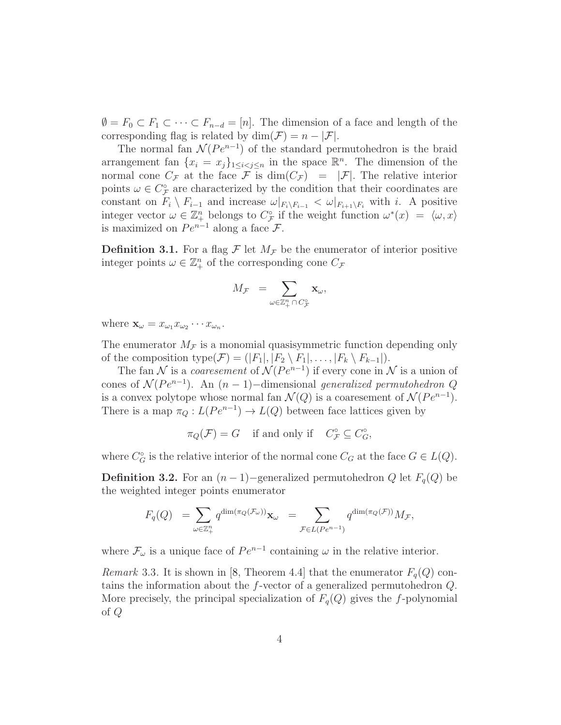$\emptyset = F_0 \subset F_1 \subset \cdots \subset F_{n-d} = [n]$ . The dimension of a face and length of the corresponding flag is related by  $\dim(\mathcal{F}) = n - |\mathcal{F}|$ .

The normal fan  $\mathcal{N}(Pe^{n-1})$  of the standard permutohedron is the braid arrangement fan  $\{x_i = x_j\}_{1 \leq i < j \leq n}$  in the space  $\mathbb{R}^n$ . The dimension of the normal cone  $C_{\mathcal{F}}$  at the face  $\mathcal F$  is  $dim(C_{\mathcal{F}}) = |\mathcal{F}|$ . The relative interior points  $\omega \in C^{\circ}_{\mathcal{F}}$  are characterized by the condition that their coordinates are constant on  $F_i \setminus F_{i-1}$  and increase  $\omega|_{F_i \setminus F_{i-1}} < \omega|_{F_{i+1} \setminus F_i}$  with i. A positive integer vector  $\omega \in \mathbb{Z}_+^n$  belongs to  $C_{\mathcal{F}}^{\circ}$  if the weight function  $\omega^*(x) = \langle \omega, x \rangle$ is maximized on  $Pe^{n-1}$  along a face  $\mathcal{F}$ .

**Definition 3.1.** For a flag  $\mathcal F$  let  $M_{\mathcal F}$  be the enumerator of interior positive integer points  $\omega \in \mathbb{Z}_+^n$  of the corresponding cone  $C_{\mathcal{F}}$ 

$$
M_{\mathcal{F}}\ =\sum_{\omega\in\mathbb{Z}^n_+\,\cap\,C^{\circ}_{\mathcal{F}}}\mathbf{x}_{\omega},
$$

where  $\mathbf{x}_{\omega} = x_{\omega_1} x_{\omega_2} \cdots x_{\omega_n}$ .

The enumerator  $M_{\mathcal{F}}$  is a monomial quasisymmetric function depending only of the composition type( $\mathcal{F}$ ) = (| $F_1$ |, | $F_2 \setminus F_1$ |, ..., | $F_k \setminus F_{k-1}$ |).

The fan N is a *coaresement* of  $\mathcal{N}(Pe^{n-1})$  if every cone in N is a union of cones of  $\mathcal{N}(Pe^{n-1})$ . An  $(n-1)$ -dimensional generalized permutohedron Q is a convex polytope whose normal fan  $\mathcal{N}(Q)$  is a coaresement of  $\mathcal{N}(Pe^{n-1})$ . There is a map  $\pi_Q: L(Pe^{n-1}) \to L(Q)$  between face lattices given by

$$
\pi_Q(\mathcal{F}) = G \quad \text{ if and only if } \quad C_{\mathcal{F}}^\circ \subseteq C_G^\circ,
$$

where  $C_G^{\circ}$  is the relative interior of the normal cone  $C_G$  at the face  $G \in L(Q)$ .

<span id="page-3-0"></span>**Definition 3.2.** For an  $(n-1)$ −generalized permutohedron Q let  $F_q(Q)$  be the weighted integer points enumerator

$$
F_q(Q) \;\; = \sum_{\omega \in \mathbb{Z}_+^n} q^{\dim(\pi_Q(\mathcal{F}_{\omega}))} \mathbf{x}_{\omega} \;\; = \sum_{\mathcal{F} \in L(Pe^{n-1})} q^{\dim(\pi_Q(\mathcal{F}))} M_{\mathcal{F}},
$$

where  $\mathcal{F}_{\omega}$  is a unique face of  $Pe^{n-1}$  containing  $\omega$  in the relative interior.

<span id="page-3-1"></span>*Remark* 3.3. It is shown in [\[8,](#page-9-5) Theorem 4.4] that the enumerator  $F_q(Q)$  contains the information about the f-vector of a generalized permutohedron Q. More precisely, the principal specialization of  $F_q(Q)$  gives the f-polynomial of Q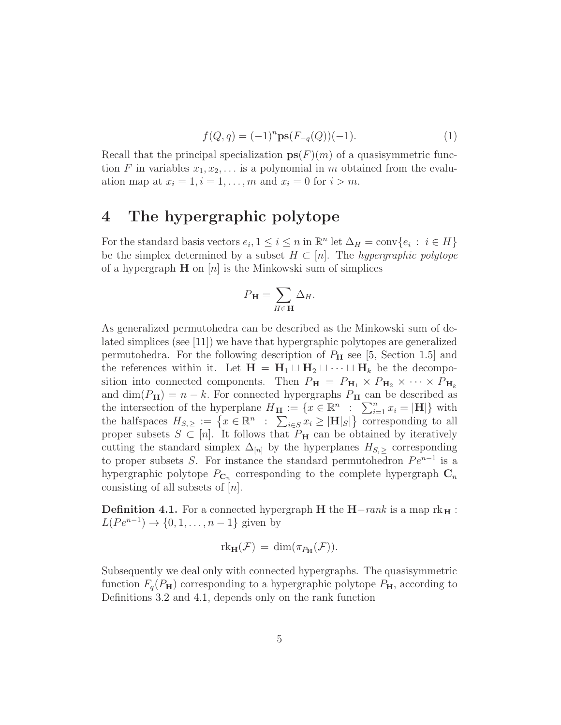<span id="page-4-1"></span>
$$
f(Q, q) = (-1)^n \mathbf{ps}(F_{-q}(Q))(-1).
$$
 (1)

Recall that the principal specialization  $ps(F)(m)$  of a quasisymmetric function F in variables  $x_1, x_2, \ldots$  is a polynomial in m obtained from the evaluation map at  $x_i = 1, i = 1, \ldots, m$  and  $x_i = 0$  for  $i > m$ .

### 4 The hypergraphic polytope

For the standard basis vectors  $e_i, 1 \leq i \leq n$  in  $\mathbb{R}^n$  let  $\Delta_H = \text{conv}\{e_i : i \in H\}$ be the simplex determined by a subset  $H \subset [n]$ . The *hypergraphic polytope* of a hypergraph  $H$  on  $[n]$  is the Minkowski sum of simplices

$$
P_{\mathbf{H}} = \sum_{H \in \mathbf{H}} \Delta_H.
$$

As generalized permutohedra can be described as the Minkowski sum of delated simplices (see [\[11\]](#page-9-4)) we have that hypergraphic polytopes are generalized permutohedra. For the following description of  $P_{\rm H}$  see [\[5,](#page-9-7) Section 1.5] and the references within it. Let  $H = H_1 \sqcup H_2 \sqcup \cdots \sqcup H_k$  be the decomposition into connected components. Then  $P_{\mathbf{H}} = P_{\mathbf{H}_1} \times P_{\mathbf{H}_2} \times \cdots \times P_{\mathbf{H}_k}$ and dim( $P_H$ ) = n – k. For connected hypergraphs  $P_H$  can be described as the intersection of the hyperplane  $H_{\mathbf{H}} := \{x \in \mathbb{R}^n : \sum_{i=1}^n x_i = |\mathbf{H}|\}$  with the halfspaces  $H_{S,\geq} := \{x \in \mathbb{R}^n : \sum_{i \in S} x_i \geq |\mathbf{H}|_S |\}$  corresponding to all proper subsets  $S \subset [n]$ . It follows that  $P_H$  can be obtained by iteratively cutting the standard simplex  $\Delta_{[n]}$  by the hyperplanes  $H_{S,>}$  corresponding to proper subsets S. For instance the standard permutohedron  $Pe^{n-1}$  is a hypergraphic polytope  $P_{\mathbf{C}_n}$  corresponding to the complete hypergraph  $\mathbf{C}_n$ consisting of all subsets of  $[n]$ .

<span id="page-4-0"></span>**Definition 4.1.** For a connected hypergraph **H** the  $H-rank$  is a map  $rk_H$ :  $L(Pe^{n-1}) \to \{0, 1, \ldots, n-1\}$  given by

$$
\mathrm{rk}_{\mathbf{H}}(\mathcal{F}) = \dim(\pi_{P_{\mathbf{H}}}(\mathcal{F})).
$$

Subsequently we deal only with connected hypergraphs. The quasisymmetric function  $F_q(P_H)$  corresponding to a hypergraphic polytope  $P_H$ , according to Definitions [3.2](#page-3-0) and [4.1,](#page-4-0) depends only on the rank function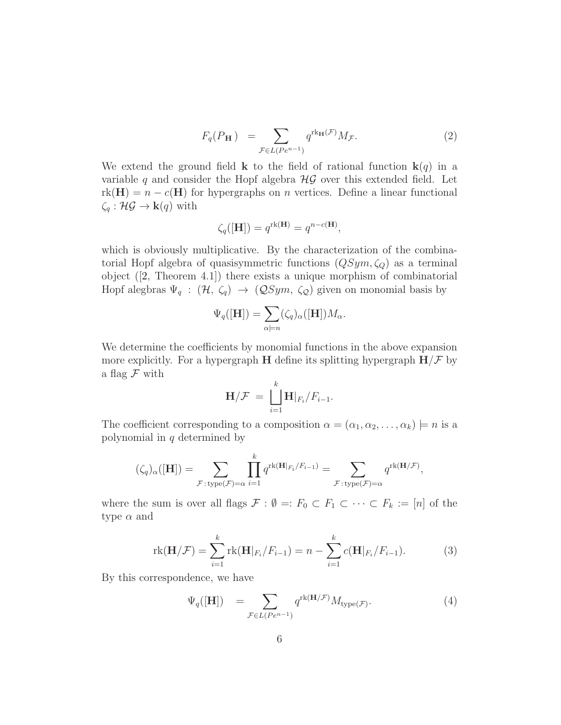<span id="page-5-0"></span>
$$
F_q(P_\mathbf{H}) = \sum_{\mathcal{F} \in L(Pe^{n-1})} q^{\text{rk}_{\mathbf{H}}(\mathcal{F})} M_{\mathcal{F}}.
$$
 (2)

We extend the ground field **k** to the field of rational function  $\mathbf{k}(q)$  in a variable q and consider the Hopf algebra  $\mathcal{HG}$  over this extended field. Let  $rk(H) = n - c(H)$  for hypergraphs on *n* vertices. Define a linear functional  $\zeta_q : \mathcal{HG} \to \mathbf{k}(q)$  with

$$
\zeta_q([\mathbf{H}]) = q^{\text{rk}(\mathbf{H})} = q^{n-c(\mathbf{H})},
$$

which is obviously multiplicative. By the characterization of the combinatorial Hopf algebra of quasisymmetric functions  $(QSym, \zeta_Q)$  as a terminal object([\[2,](#page-8-0) Theorem 4.1]) there exists a unique morphism of combinatorial Hopf alegbras  $\Psi_q$ :  $(\mathcal{H}, \zeta_q) \rightarrow (\mathcal{Q}Sym, \zeta_{\mathcal{Q}})$  given on monomial basis by

$$
\Psi_q([H]) = \sum_{\alpha \models n} (\zeta_q)_{\alpha}([H]) M_{\alpha}.
$$

We determine the coefficients by monomial functions in the above expansion more explicitly. For a hypergraph **H** define its splitting hypergraph  $H/\mathcal{F}$  by a flag  $\mathcal F$  with

$$
\mathbf{H}/\mathcal{F} = \bigsqcup_{i=1}^k \mathbf{H}|_{F_i}/F_{i-1}.
$$

The coefficient corresponding to a composition  $\alpha = (\alpha_1, \alpha_2, \dots, \alpha_k) \models n$  is a polynomial in  $q$  determined by

$$
(\zeta_q)_{\alpha}([\mathbf{H}]) = \sum_{\mathcal{F}: \text{type}(\mathcal{F}) = \alpha} \prod_{i=1}^k q^{\text{rk}(\mathbf{H}|_{F_i}/F_{i-1})} = \sum_{\mathcal{F}: \text{type}(\mathcal{F}) = \alpha} q^{\text{rk}(\mathbf{H}|\mathcal{F})},
$$

where the sum is over all flags  $\mathcal{F} : \emptyset =: F_0 \subset F_1 \subset \cdots \subset F_k := [n]$  of the type  $\alpha$  and

<span id="page-5-2"></span>
$$
rk(\mathbf{H}/\mathcal{F}) = \sum_{i=1}^{k} rk(\mathbf{H}|_{F_i}/F_{i-1}) = n - \sum_{i=1}^{k} c(\mathbf{H}|_{F_i}/F_{i-1}).
$$
 (3)

By this correspondence, we have

<span id="page-5-1"></span>
$$
\Psi_q([H]) = \sum_{\mathcal{F} \in L(Pe^{n-1})} q^{\text{rk}(\mathbf{H}/\mathcal{F})} M_{\text{type}(\mathcal{F})}.
$$
\n(4)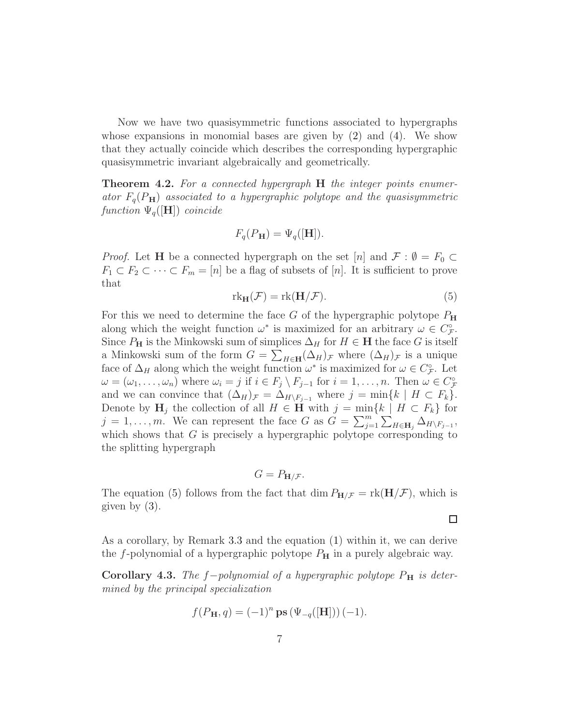Now we have two quasisymmetric functions associated to hypergraphs whose expansions in monomial bases are given by  $(2)$  and  $(4)$ . We show that they actually coincide which describes the corresponding hypergraphic quasisymmetric invariant algebraically and geometrically.

<span id="page-6-0"></span>**Theorem 4.2.** For a connected hypergraph **H** the integer points enumerator  $F_q(P_H)$  associated to a hypergraphic polytope and the quasisymmetric function  $\Psi_q([\mathbf{H}])$  coincide

$$
F_q(P_\mathbf{H}) = \Psi_q([\mathbf{H}]).
$$

*Proof.* Let **H** be a connected hypergraph on the set [n] and  $\mathcal{F}$  :  $\emptyset = F_0 \subset$  $F_1 \subset F_2 \subset \cdots \subset F_m = [n]$  be a flag of subsets of [n]. It is sufficient to prove that

<span id="page-6-1"></span>
$$
rk_{\mathbf{H}}(\mathcal{F}) = rk(\mathbf{H}/\mathcal{F}).
$$
\n(5)

For this we need to determine the face G of the hypergraphic polytope  $P_{\text{H}}$ along which the weight function  $\omega^*$  is maximized for an arbitrary  $\omega \in C^{\circ}_{\mathcal{F}}$ . Since  $P_{\mathbf{H}}$  is the Minkowski sum of simplices  $\Delta_H$  for  $H \in \mathbf{H}$  the face G is itself a Minkowski sum of the form  $G = \sum_{H \in \mathbf{H}} (\Delta_H)_{\mathcal{F}}$  where  $(\Delta_H)_{\mathcal{F}}$  is a unique face of  $\Delta_H$  along which the weight function  $\omega^*$  is maximized for  $\omega \in C^{\circ}_{\mathcal{F}}$ . Let  $\omega = (\omega_1, \ldots, \omega_n)$  where  $\omega_i = j$  if  $i \in F_j \setminus F_{j-1}$  for  $i = 1, \ldots, n$ . Then  $\omega \in C^{\circ}_{\mathcal{F}}$ and we can convince that  $(\Delta_H)_{\mathcal{F}} = \Delta_{H\setminus F_{j-1}}$  where  $j = \min\{k \mid H \subset F_k\}.$ Denote by  $H_j$  the collection of all  $H \in \mathbf{H}$  with  $j = \min\{k \mid H \subset F_k\}$  for  $j = 1, \ldots, m$ . We can represent the face G as  $G = \sum_{j=1}^{m} \sum_{H \in \mathbf{H}_j} \Delta_{H \setminus F_{j-1}}$ , which shows that  $G$  is precisely a hypergraphic polytope corresponding to the splitting hypergraph

$$
G = P_{\mathbf{H}/\mathcal{F}}.
$$

The equation [\(5\)](#page-6-1) follows from the fact that dim  $P_{H/F} = \text{rk}(\mathbf{H}/F)$ , which is given by [\(3\)](#page-5-2).

As a corollary, by Remark [3.3](#page-3-1) and the equation [\(1\)](#page-4-1) within it, we can derive

□

the f-polynomial of a hypergraphic polytope  $P_{\rm H}$  in a purely algebraic way.

<span id="page-6-2"></span>Corollary 4.3. The f−polynomial of a hypergraphic polytope  $P<sub>H</sub>$  is determined by the principal specialization

$$
f(P_{\mathbf{H}}, q) = (-1)^n \mathbf{ps} \left( \Psi_{-q}([\mathbf{H}]) \right) (-1).
$$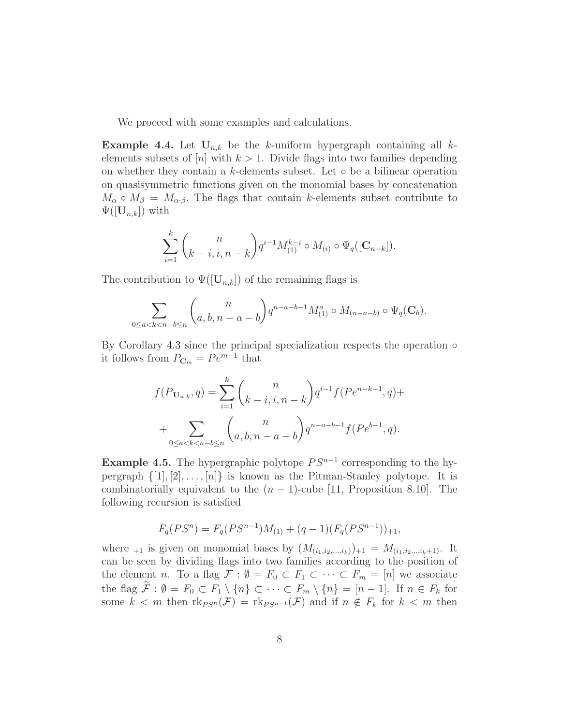We proceed with some examples and calculations.

**Example 4.4.** Let  $U_{n,k}$  be the k-uniform hypergraph containing all kelements subsets of  $[n]$  with  $k > 1$ . Divide flags into two families depending on whether they contain a k-elements subset. Let  $\circ$  be a bilinear operation on quasisymmetric functions given on the monomial bases by concatenation  $M_{\alpha} \circ M_{\beta} = M_{\alpha \cdot \beta}$ . The flags that contain k-elements subset contribute to  $\Psi([{\bf U}_{n,k}])$  with

$$
\sum_{i=1}^k \binom{n}{k-i, i, n-k} q^{i-1} M_{(1)}^{k-i} \circ M_{(i)} \circ \Psi_q([\mathbf{C}_{n-k}]).
$$

The contribution to  $\Psi([{\bf U}_{n,k}])$  of the remaining flags is

$$
\sum_{0 \le a < k < n - b \le n} \binom{n}{a, b, n - a - b} q^{n - a - b - 1} M_{(1)}^a \circ M_{(n - a - b)} \circ \Psi_q(\mathbf{C}_b).
$$

By Corollary [4.3](#page-6-2) since the principal specialization respects the operation  $\circ$ it follows from  $P_{\mathbf{C}_m} = P e^{m-1}$  that

$$
f(P_{\mathbf{U}_{n,k}},q) = \sum_{i=1}^{k} {n \choose k-i, i, n-k} q^{i-1} f(Pe^{n-k-1},q) +
$$
  
+ 
$$
\sum_{0 \le a < k < n-b \le n} {n \choose a, b, n-a-b} q^{n-a-b-1} f(Pe^{b-1},q).
$$

**Example 4.5.** The hypergraphic polytope  $PS^{n-1}$  corresponding to the hypergraph  $\{[1], [2], \ldots, [n]\}$  is known as the Pitman-Stanley polytope. It is combinatorially equivalent to the  $(n-1)$ -cube [\[11,](#page-9-4) Proposition 8.10]. The following recursion is satisfied

$$
F_q(PS^n) = F_q(PS^{n-1})M_{(1)} + (q-1)(F_q(PS^{n-1}))_{+1},
$$

where  $_{+1}$  is given on monomial bases by  $(M_{(i_1,i_2,...,i_k)})_{+1} = M_{(i_1,i_2,...,i_k+1)}$ . It can be seen by dividing flags into two families according to the position of the element n. To a flag  $\mathcal{F} : \emptyset = F_0 \subset F_1 \subset \cdots \subset F_m = [n]$  we associate the flag  $\mathcal{F}: \emptyset = F_0 \subset F_1 \setminus \{n\} \subset \cdots \subset F_m \setminus \{n\} = [n-1]$ . If  $n \in F_k$  for some  $k < m$  then  $\text{rk}_{PS^n}(\mathcal{F}) = \text{rk}_{PS^{n-1}}(\mathcal{F})$  and if  $n \notin F_k$  for  $k < m$  then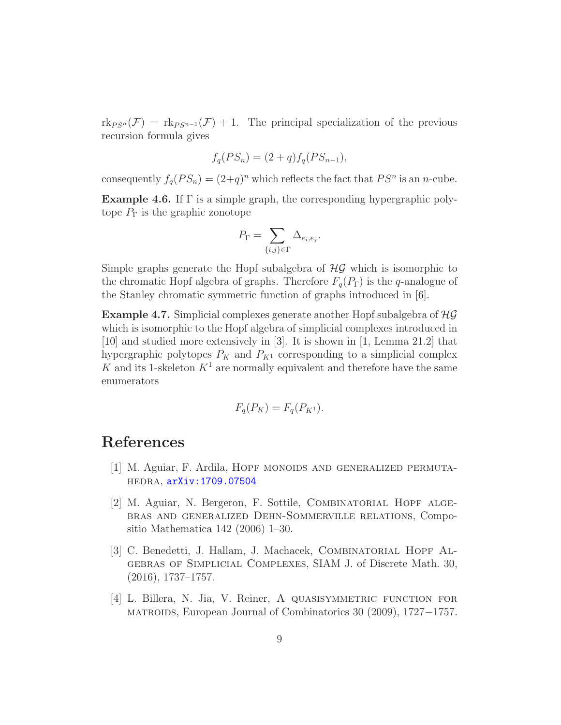$\text{rk}_{PS^n}(\mathcal{F}) = \text{rk}_{PS^{n-1}}(\mathcal{F}) + 1$ . The principal specialization of the previous recursion formula gives

$$
f_q(PS_n) = (2+q)f_q(PS_{n-1}),
$$

consequently  $f_q(PS_n) = (2+q)^n$  which reflects the fact that  $PS^n$  is an *n*-cube. **Example 4.6.** If  $\Gamma$  is a simple graph, the corresponding hypergraphic poly-

tope  $P_{\Gamma}$  is the graphic zonotope

$$
P_{\Gamma} = \sum_{\{i,j\} \in \Gamma} \Delta_{e_i, e_j}.
$$

Simple graphs generate the Hopf subalgebra of  $H\mathcal{G}$  which is isomorphic to the chromatic Hopf algebra of graphs. Therefore  $F_q(P_{\Gamma})$  is the q-analogue of the Stanley chromatic symmetric function of graphs introduced in [\[6\]](#page-9-2).

**Example 4.7.** Simplicial complexes generate another Hopf subalgebra of  $H\mathcal{G}$ which is isomorphic to the Hopf algebra of simplicial complexes introduced in [\[10\]](#page-9-1) and studied more extensively in [\[3\]](#page-8-1). It is shown in [\[1,](#page-8-3) Lemma 21.2] that hypergraphic polytopes  $P_K$  and  $P_{K^1}$  corresponding to a simplicial complex K and its 1-skeleton  $K^1$  are normally equivalent and therefore have the same enumerators

$$
F_q(P_K) = F_q(P_{K^1}).
$$

### <span id="page-8-3"></span>References

- <span id="page-8-0"></span>[1] M. Aguiar, F. Ardila, Hopf monoids and generalized permutahedra, [arXiv:1709.07504](http://arxiv.org/abs/1709.07504)
- [2] M. Aguiar, N. Bergeron, F. Sottile, Combinatorial Hopf algebras and generalized Dehn-Sommerville relations, Compositio Mathematica 142 (2006) 1–30.
- <span id="page-8-1"></span>[3] C. Benedetti, J. Hallam, J. Machacek, Combinatorial Hopf Algebras of Simplicial Complexes, SIAM J. of Discrete Math. 30, (2016), 1737–1757.
- <span id="page-8-2"></span>[4] L. Billera, N. Jia, V. Reiner, A quasisymmetric function for matroids, European Journal of Combinatorics 30 (2009), 1727−1757.